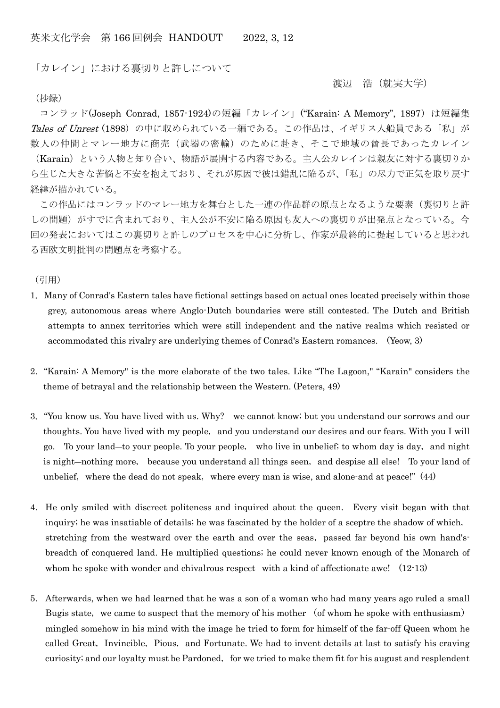「カレイン」における裏切りと許しについて

## 渡辺 浩(就実大学)

(抄録)

コンラッド(Joseph Conrad, 1857-1924)の短編「カレイン」("Karain: A Memory", 1897) は短編集 Tales of Unrest (1898) の中に収められている一編である。この作品は、イギリス人船員である「私」が 数人の仲間とマレー地方に商売(武器の密輸)のために赴き、そこで地域の酋長であったカレイン

(Karain)という人物と知り合い、物語が展開する内容である。主人公カレインは親友に対する裏切りか ら生じた大きな苦悩と不安を抱えており、それが原因で彼は錯乱に陥るが、「私」の尽力で正気を取り戻す 経緯が描かれている。

この作品にはコンラッドのマレー地方を舞台とした一連の作品群の原点となるような要素(裏切りと許 しの問題)がすでに含まれており、主人公が不安に陥る原因も友人への裏切りが出発点となっている。今 回の発表においてはこの裏切りと許しのプロセスを中心に分析し、作家が最終的に提起していると思われ る西欧文明批判の問題点を考察する。

(引用)

- 1.Many of Conrad's Eastern tales have fictional settings based on actual ones located precisely within those grey, autonomous areas where Anglo-Dutch boundaries were still contested. The Dutch and British attempts to annex territories which were still independent and the native realms which resisted or accommodated this rivalry are underlying themes of Conrad's Eastern romances. (Yeow, 3)
- 2. "Karain: A Memory" is the more elaborate of the two tales. Like "The Lagoon," "Karain" considers the theme of betrayal and the relationship between the Western. (Peters, 49)
- 3."You know us. You have lived with us. Why? ―we cannot know; but you understand our sorrows and our thoughts. You have lived with my people, and you understand our desires and our fears. With you I will go. To your land―to your people. To your people, who live in unbelief; to whom day is day,and night is night—nothing more, because you understand all things seen, and despise all else! To your land of unbelief, where the dead do not speak, where every man is wise, and alone-and at peace!"  $(44)$
- 4. He only smiled with discreet politeness and inquired about the queen. Every visit began with that inquiry; he was insatiable of details; he was fascinated by the holder of a sceptre the shadow of which, stretching from the westward over the earth and over the seas, passed far beyond his own hand'sbreadth of conquered land. He multiplied questions; he could never known enough of the Monarch of whom he spoke with wonder and chivalrous respect—with a kind of affectionate awe!  $(12-13)$
- 5. Afterwards, when we had learned that he was a son of a woman who had many years ago ruled a small Bugis state, we came to suspect that the memory of his mother (of whom he spoke with enthusiasm) mingled somehow in his mind with the image he tried to form for himself of the far-off Queen whom he called Great, Invincible, Pious, and Fortunate. We had to invent details at last to satisfy his craving curiosity; and our loyalty must be Pardoned, for we tried to make them fit for his august and resplendent